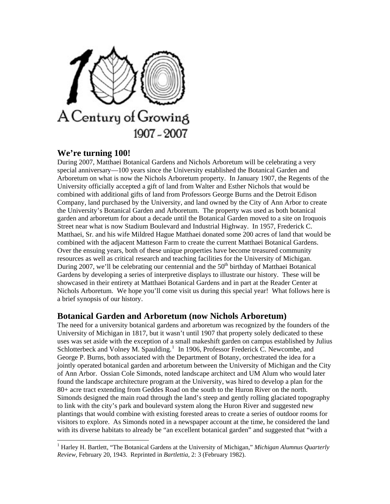

# **We're turning 100!**

1

During 2007, Matthaei Botanical Gardens and Nichols Arboretum will be celebrating a very special anniversary—100 years since the University established the Botanical Garden and Arboretum on what is now the Nichols Arboretum property. In January 1907, the Regents of the University officially accepted a gift of land from Walter and Esther Nichols that would be combined with additional gifts of land from Professors George Burns and the Detroit Edison Company, land purchased by the University, and land owned by the City of Ann Arbor to create the University's Botanical Garden and Arboretum. The property was used as both botanical garden and arboretum for about a decade until the Botanical Garden moved to a site on Iroquois Street near what is now Stadium Boulevard and Industrial Highway. In 1957, Frederick C. Matthaei, Sr. and his wife Mildred Hague Matthaei donated some 200 acres of land that would be combined with the adjacent Matteson Farm to create the current Matthaei Botanical Gardens. Over the ensuing years, both of these unique properties have become treasured community resources as well as critical research and teaching facilities for the University of Michigan. During 2007, we'll be celebrating our centennial and the  $50<sup>th</sup>$  birthday of Matthaei Botanical Gardens by developing a series of interpretive displays to illustrate our history. These will be showcased in their entirety at Matthaei Botanical Gardens and in part at the Reader Center at Nichols Arboretum. We hope you'll come visit us during this special year! What follows here is a brief synopsis of our history.

#### **Botanical Garden and Arboretum (now Nichols Arboretum)**

The need for a university botanical gardens and arboretum was recognized by the founders of the University of Michigan in 1817, but it wasn't until 1907 that property solely dedicated to these uses was set aside with the exception of a small makeshift garden on campus established by Julius Schlotterbeck and Volney M. Spaulding.<sup>[1](#page-0-0)</sup> In 1906, Professor Frederick C. Newcombe, and George P. Burns, both associated with the Department of Botany, orchestrated the idea for a jointly operated botanical garden and arboretum between the University of Michigan and the City of Ann Arbor. Ossian Cole Simonds, noted landscape architect and UM Alum who would later found the landscape architecture program at the University, was hired to develop a plan for the 80+ acre tract extending from Geddes Road on the south to the Huron River on the north. Simonds designed the main road through the land's steep and gently rolling glaciated topography to link with the city's park and boulevard system along the Huron River and suggested new plantings that would combine with existing forested areas to create a series of outdoor rooms for visitors to explore. As Simonds noted in a newspaper account at the time, he considered the land with its diverse habitats to already be "an excellent botanical garden" and suggested that "with a

<span id="page-0-0"></span><sup>&</sup>lt;sup>1</sup> Harley H. Bartlett, "The Botanical Gardens at the University of Michigan," *Michigan Alumnus Quarterly Review,* February 20, 1943. Reprinted in *Bartlettia,* 2: 3 (February 1982).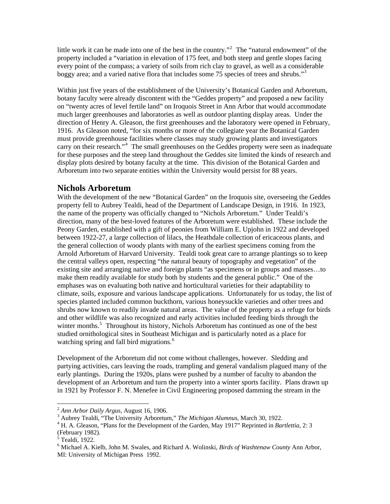little work it can be made into one of the best in the country."<sup>[2](#page-1-0)</sup> The "natural endowment" of the property included a "variation in elevation of 175 feet, and both steep and gentle slopes facing every point of the compass; a variety of soils from rich clay to gravel, as well as a considerable boggy area; and a varied native flora that includes some 75 species of trees and shrubs."<sup>[3](#page-1-1)</sup>

Within just five years of the establishment of the University's Botanical Garden and Arboretum, botany faculty were already discontent with the "Geddes property" and proposed a new facility on "twenty acres of level fertile land" on Iroquois Street in Ann Arbor that would accommodate much larger greenhouses and laboratories as well as outdoor planting display areas. Under the direction of Henry A. Gleason, the first greenhouses and the laboratory were opened in February, 1916. As Gleason noted, "for six months or more of the collegiate year the Botanical Garden must provide greenhouse facilities where classes may study growing plants and investigators carry on their research."<sup>[4](#page-1-2)</sup> The small greenhouses on the Geddes property were seen as inadequate for these purposes and the steep land throughout the Geddes site limited the kinds of research and display plots desired by botany faculty at the time. This division of the Botanical Garden and Arboretum into two separate entities within the University would persist for 88 years.

## **Nichols Arboretum**

With the development of the new "Botanical Garden" on the Iroquois site, overseeing the Geddes property fell to Aubrey Tealdi, head of the Department of Landscape Design, in 1916. In 1923, the name of the property was officially changed to "Nichols Arboretum." Under Tealdi's direction, many of the best-loved features of the Arboretum were established. These include the Peony Garden, established with a gift of peonies from William E. Upjohn in 1922 and developed between 1922-27, a large collection of lilacs, the Heathdale collection of ericaceous plants, and the general collection of woody plants with many of the earliest specimens coming from the Arnold Arboretum of Harvard University. Tealdi took great care to arrange plantings so to keep the central valleys open, respecting "the natural beauty of topography and vegetation" of the existing site and arranging native and foreign plants "as specimens or in groups and masses…to make them readily available for study both by students and the general public." One of the emphases was on evaluating both native and horticultural varieties for their adaptability to climate, soils, exposure and various landscape applications. Unfortunately for us today, the list of species planted included common buckthorn, various honeysuckle varieties and other trees and shrubs now known to readily invade natural areas. The value of the property as a refuge for birds and other wildlife was also recognized and early activities included feeding birds through the winter months.<sup>[5](#page-1-3)</sup> Throughout its history, Nichols Arboretum has continued as one of the best studied ornithological sites in Southeast Michigan and is particularly noted as a place for watching spring and fall bird migrations.<sup>[6](#page-1-4)</sup>

Development of the Arboretum did not come without challenges, however. Sledding and partying activities, cars leaving the roads, trampling and general vandalism plagued many of the early plantings. During the 1920s, plans were pushed by a number of faculty to abandon the development of an Arboretum and turn the property into a winter sports facility. Plans drawn up in 1921 by Professor F. N. Menefee in Civil Engineering proposed damming the stream in the

1

<span id="page-1-0"></span><sup>2</sup> *Ann Arbor Daily Argus,* August 16, 1906. 3

<span id="page-1-1"></span><sup>&</sup>lt;sup>3</sup> Aubrey Tealdi, "The University Arboretum," The Michigan Alumnus, March 30, 1922.

<span id="page-1-2"></span>H. A. Gleason, "Plans for the Development of the Garden, May 1917" Reprinted in *Bartlettia,* 2: 3 (February 1982).

<span id="page-1-3"></span> $<sup>5</sup>$  Tealdi, 1922.</sup>

<span id="page-1-4"></span><sup>6</sup> Michael A. Kielb, John M. Swales, and Richard A. Wolinski, *Birds of Washtenaw County* Ann Arbor, MI: University of Michigan Press 1992.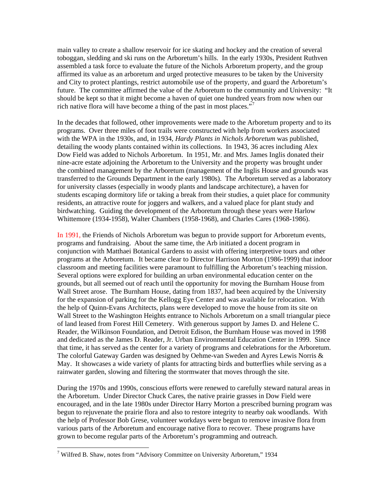main valley to create a shallow reservoir for ice skating and hockey and the creation of several toboggan, sledding and ski runs on the Arboretum's hills. In the early 1930s, President Ruthven assembled a task force to evaluate the future of the Nichols Arboretum property, and the group affirmed its value as an arboretum and urged protective measures to be taken by the University and City to protect plantings, restrict automobile use of the property, and guard the Arboretum's future. The committee affirmed the value of the Arboretum to the community and University: "It should be kept so that it might become a haven of quiet one hundred years from now when our rich native flora will have become a thing of the past in most places."<sup>[7](#page-2-0)</sup>

In the decades that followed, other improvements were made to the Arboretum property and to its programs. Over three miles of foot trails were constructed with help from workers associated with the WPA in the 1930s, and, in 1934, *Hardy Plants in Nichols Arboretum* was published, detailing the woody plants contained within its collections. In 1943, 36 acres including Alex Dow Field was added to Nichols Arboretum. In 1951, Mr. and Mrs. James Inglis donated their nine-acre estate adjoining the Arboretum to the University and the property was brought under the combined management by the Arboretum (management of the Inglis House and grounds was transferred to the Grounds Department in the early 1980s). The Arboretum served as a laboratory for university classes (especially in woody plants and landscape architecture), a haven for students escaping dormitory life or taking a break from their studies, a quiet place for community residents, an attractive route for joggers and walkers, and a valued place for plant study and birdwatching. Guiding the development of the Arboretum through these years were Harlow Whittemore (1934-1958), Walter Chambers (1958-1968), and Charles Cares (1968-1986).

In 1991, the Friends of Nichols Arboretum was begun to provide support for Arboretum events, programs and fundraising. About the same time, the Arb initiated a docent program in conjunction with Matthaei Botanical Gardens to assist with offering interpretive tours and other programs at the Arboretum. It became clear to Director Harrison Morton (1986-1999) that indoor classroom and meeting facilities were paramount to fulfilling the Arboretum's teaching mission. Several options were explored for building an urban environmental education center on the grounds, but all seemed out of reach until the opportunity for moving the Burnham House from Wall Street arose. The Burnham House, dating from 1837, had been acquired by the University for the expansion of parking for the Kellogg Eye Center and was available for relocation. With the help of Quinn-Evans Architects, plans were developed to move the house from its site on Wall Street to the Washington Heights entrance to Nichols Arboretum on a small triangular piece of land leased from Forest Hill Cemetery. With generous support by James D. and Helene C. Reader, the Wilkinson Foundation, and Detroit Edison, the Burnham House was moved in 1998 and dedicated as the James D. Reader, Jr. Urban Environmental Education Center in 1999. Since that time, it has served as the center for a variety of programs and celebrations for the Arboretum. The colorful Gateway Garden was designed by Oehme-van Sweden and Ayres Lewis Norris & May. It showcases a wide variety of plants for attracting birds and butterflies while serving as a rainwater garden, slowing and filtering the stormwater that moves through the site.

During the 1970s and 1990s, conscious efforts were renewed to carefully steward natural areas in the Arboretum. Under Director Chuck Cares, the native prairie grasses in Dow Field were encouraged, and in the late 1980s under Director Harry Morton a prescribed burning program was begun to rejuvenate the prairie flora and also to restore integrity to nearby oak woodlands. With the help of Professor Bob Grese, volunteer workdays were begun to remove invasive flora from various parts of the Arboretum and encourage native flora to recover. These programs have grown to become regular parts of the Arboretum's programming and outreach.

l

<span id="page-2-0"></span><sup>&</sup>lt;sup>7</sup> Wilfred B. Shaw, notes from "Advisory Committee on University Arboretum," 1934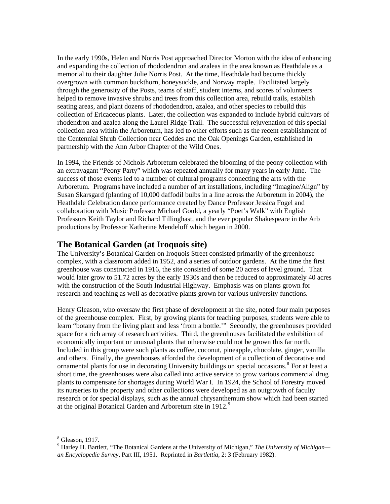In the early 1990s, Helen and Norris Post approached Director Morton with the idea of enhancing and expanding the collection of rhododendron and azaleas in the area known as Heathdale as a memorial to their daughter Julie Norris Post. At the time, Heathdale had become thickly overgrown with common buckthorn, honeysuckle, and Norway maple. Facilitated largely through the generosity of the Posts, teams of staff, student interns, and scores of volunteers helped to remove invasive shrubs and trees from this collection area, rebuild trails, establish seating areas, and plant dozens of rhododendron, azalea, and other species to rebuild this collection of Ericaceous plants. Later, the collection was expanded to include hybrid cultivars of rhodendron and azalea along the Laurel Ridge Trail. The successful rejuvenation of this special collection area within the Arboretum, has led to other efforts such as the recent establishment of the Centennial Shrub Collection near Geddes and the Oak Openings Garden, established in partnership with the Ann Arbor Chapter of the Wild Ones.

In 1994, the Friends of Nichols Arboretum celebrated the blooming of the peony collection with an extravagant "Peony Party" which was repeated annually for many years in early June. The success of those events led to a number of cultural programs connecting the arts with the Arboretum. Programs have included a number of art installations, including "Imagine/Align" by Susan Skarsgard (planting of 10,000 daffodil bulbs in a line across the Arboretum in 2004), the Heathdale Celebration dance performance created by Dance Professor Jessica Fogel and collaboration with Music Professor Michael Gould, a yearly "Poet's Walk" with English Professors Keith Taylor and Richard Tillinghast, and the ever popular Shakespeare in the Arb productions by Professor Katherine Mendeloff which began in 2000.

## **The Botanical Garden (at Iroquois site)**

The University's Botanical Garden on Iroquois Street consisted primarily of the greenhouse complex, with a classroom added in 1952, and a series of outdoor gardens. At the time the first greenhouse was constructed in 1916, the site consisted of some 20 acres of level ground. That would later grow to 51.72 acres by the early 1930s and then be reduced to approximately 40 acres with the construction of the South Industrial Highway. Emphasis was on plants grown for research and teaching as well as decorative plants grown for various university functions.

Henry Gleason, who oversaw the first phase of development at the site, noted four main purposes of the greenhouse complex. First, by growing plants for teaching purposes, students were able to learn "botany from the living plant and less 'from a bottle.'" Secondly, the greenhouses provided space for a rich array of research activities. Third, the greenhouses facilitated the exhibition of economically important or unusual plants that otherwise could not be grown this far north. Included in this group were such plants as coffee, coconut, pineapple, chocolate, ginger, vanilla and others. Finally, the greenhouses afforded the development of a collection of decorative and ornamental plants for use in decorating University buildings on special occasions.<sup>[8](#page-3-0)</sup> For at least a short time, the greenhouses were also called into active service to grow various commercial drug plants to compensate for shortages during World War I. In 1924, the School of Forestry moved its nurseries to the property and other collections were developed as an outgrowth of faculty research or for special displays, such as the annual chrysanthemum show which had been started at the original Botanical Garden and Arboretum site in  $1912$  $1912$  $1912$ .<sup>9</sup>

<sup>&</sup>lt;sup>8</sup> Gleason, 1917.

<span id="page-3-1"></span><span id="page-3-0"></span><sup>9</sup> Harley H. Bartlett, "The Botanical Gardens at the University of Michigan," *The University of Michigan an Encyclopedic Survey*, Part III, 1951. Reprinted in *Bartlettia*, 2: 3 (February 1982).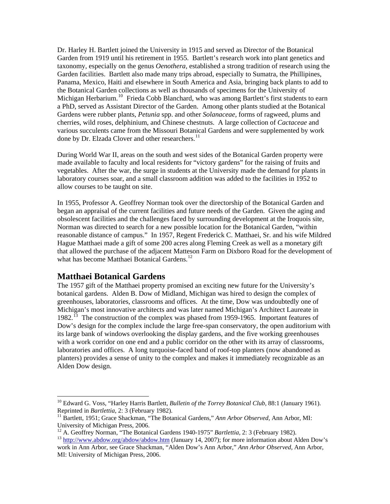Dr. Harley H. Bartlett joined the University in 1915 and served as Director of the Botanical Garden from 1919 until his retirement in 1955. Bartlett's research work into plant genetics and taxonomy, especially on the genus *Oenothera,* established a strong tradition of research using the Garden facilities. Bartlett also made many trips abroad, especially to Sumatra, the Phillipines, Panama, Mexico, Haiti and elsewhere in South America and Asia, bringing back plants to add to the Botanical Garden collections as well as thousands of specimens for the University of Michigan Herbarium.<sup>[10](#page-4-0)</sup> Frieda Cobb Blanchard, who was among Bartlett's first students to earn a PhD, served as Assistant Director of the Garden. Among other plants studied at the Botanical Gardens were rubber plants, *Petunia* spp. and other *Solanaceae,* forms of ragweed, plums and cherries, wild roses, delphinium, and Chinese chestnuts. A large collection of *Cactaceae* and various succulents came from the Missouri Botanical Gardens and were supplemented by work done by Dr. Elzada Clover and other researchers.<sup>[11](#page-4-1)</sup>

During World War II, areas on the south and west sides of the Botanical Garden property were made available to faculty and local residents for "victory gardens" for the raising of fruits and vegetables. After the war, the surge in students at the University made the demand for plants in laboratory courses soar, and a small classroom addition was added to the facilities in 1952 to allow courses to be taught on site.

In 1955, Professor A. Geoffrey Norman took over the directorship of the Botanical Garden and began an appraisal of the current facilities and future needs of the Garden. Given the aging and obsolescent facilities and the challenges faced by surrounding development at the Iroquois site, Norman was directed to search for a new possible location for the Botanical Garden, "within reasonable distance of campus." In 1957, Regent Frederick C. Matthaei, Sr. and his wife Mildred Hague Matthaei made a gift of some 200 acres along Fleming Creek as well as a monetary gift that allowed the purchase of the adjacent Matteson Farm on Dixboro Road for the development of what has become Matthaei Botanical Gardens.<sup>[12](#page-4-2)</sup>

#### **Matthaei Botanical Gardens**

l

The 1957 gift of the Matthaei property promised an exciting new future for the University's botanical gardens. Alden B. Dow of Midland, Michigan was hired to design the complex of greenhouses, laboratories, classrooms and offices. At the time, Dow was undoubtedly one of Michigan's most innovative architects and was later named Michigan's Architect Laureate in 1982.<sup>[13](#page-4-3)</sup> The construction of the complex was phased from 1959-1965. Important features of Dow's design for the complex include the large free-span conservatory, the open auditorium with its large bank of windows overlooking the display gardens, and the five working greenhouses with a work corridor on one end and a public corridor on the other with its array of classrooms, laboratories and offices. A long turquoise-faced band of roof-top planters (now abandoned as planters) provides a sense of unity to the complex and makes it immediately recognizable as an Alden Dow design.

<span id="page-4-0"></span><sup>10</sup> Edward G. Voss, "Harley Harris Bartlett, *Bulletin of the Torrey Botanical Club,* 88:1 (January 1961). Reprinted in *Bartlettia*, 2: 3 (February 1982).<br><sup>11</sup> Bartlett, 1951; Grace Shackman, "The Botanical Gardens," *Ann Arbor Observed*, *Ann Arbor*, MI:

<span id="page-4-1"></span>University of Michigan Press, 2006.<br><sup>12</sup> A. Geoffrey Norman, "The Botanical Gardens 1940-1975" *Bartlettia*, 2: 3 (February 1982).

<span id="page-4-3"></span><span id="page-4-2"></span><sup>&</sup>lt;sup>13</sup> <http://www.abdow.org/abdow/abdow.htm> (January 14, 2007); for more information about Alden Dow's work in Ann Arbor, see Grace Shackman, "Alden Dow's Ann Arbor," *Ann Arbor Observed,* Ann Arbor, MI: University of Michigan Press, 2006.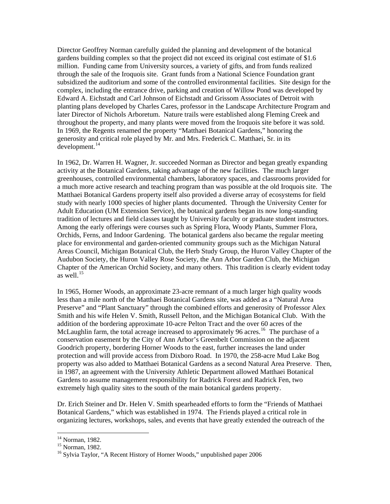Director Geoffrey Norman carefully guided the planning and development of the botanical gardens building complex so that the project did not exceed its original cost estimate of \$1.6 million. Funding came from University sources, a variety of gifts, and from funds realized through the sale of the Iroquois site. Grant funds from a National Science Foundation grant subsidized the auditorium and some of the controlled environmental facilities. Site design for the complex, including the entrance drive, parking and creation of Willow Pond was developed by Edward A. Eichstadt and Carl Johnson of Eichstadt and Grissom Associates of Detroit with planting plans developed by Charles Cares, professor in the Landscape Architecture Program and later Director of Nichols Arboretum. Nature trails were established along Fleming Creek and throughout the property, and many plants were moved from the Iroquois site before it was sold. In 1969, the Regents renamed the property "Matthaei Botanical Gardens," honoring the generosity and critical role played by Mr. and Mrs. Frederick C. Matthaei, Sr. in its  $develoment.<sup>14</sup>$  $develoment.<sup>14</sup>$  $develoment.<sup>14</sup>$ 

In 1962, Dr. Warren H. Wagner, Jr. succeeded Norman as Director and began greatly expanding activity at the Botanical Gardens, taking advantage of the new facilities. The much larger greenhouses, controlled environmental chambers, laboratory spaces, and classrooms provided for a much more active research and teaching program than was possible at the old Iroquois site. The Matthaei Botanical Gardens property itself also provided a diverse array of ecosystems for field study with nearly 1000 species of higher plants documented. Through the University Center for Adult Education (UM Extension Service), the botanical gardens began its now long-standing tradition of lectures and field classes taught by University faculty or graduate student instructors. Among the early offerings were courses such as Spring Flora, Woody Plants, Summer Flora, Orchids, Ferns, and Indoor Gardening. The botanical gardens also became the regular meeting place for environmental and garden-oriented community groups such as the Michigan Natural Areas Council, Michigan Botanical Club, the Herb Study Group, the Huron Valley Chapter of the Audubon Society, the Huron Valley Rose Society, the Ann Arbor Garden Club, the Michigan Chapter of the American Orchid Society, and many others. This tradition is clearly evident today as well. $^{15}$  $^{15}$  $^{15}$ 

In 1965, Horner Woods, an approximate 23-acre remnant of a much larger high quality woods less than a mile north of the Matthaei Botanical Gardens site, was added as a "Natural Area Preserve" and "Plant Sanctuary" through the combined efforts and generosity of Professor Alex Smith and his wife Helen V. Smith, Russell Pelton, and the Michigan Botanical Club. With the addition of the bordering approximate 10-acre Pelton Tract and the over 60 acres of the McLaughlin farm, the total acreage increased to approximately 96 acres.<sup>[16](#page-5-2)</sup> The purchase of a conservation easement by the City of Ann Arbor's Greenbelt Commission on the adjacent Goodrich property, bordering Horner Woods to the east, further increases the land under protection and will provide access from Dixboro Road. In 1970, the 258-acre Mud Lake Bog property was also added to Matthaei Botanical Gardens as a second Natural Area Preserve. Then, in 1987, an agreement with the University Athletic Department allowed Matthaei Botanical Gardens to assume management responsibility for Radrick Forest and Radrick Fen, two extremely high quality sites to the south of the main botanical gardens property.

Dr. Erich Steiner and Dr. Helen V. Smith spearheaded efforts to form the "Friends of Matthaei Botanical Gardens," which was established in 1974. The Friends played a critical role in organizing lectures, workshops, sales, and events that have greatly extended the outreach of the

1

<sup>&</sup>lt;sup>14</sup> Norman, 1982.

<span id="page-5-1"></span><span id="page-5-0"></span><sup>15</sup> Norman, 1982.

<span id="page-5-2"></span><sup>&</sup>lt;sup>16</sup> Sylvia Taylor, "A Recent History of Horner Woods," unpublished paper 2006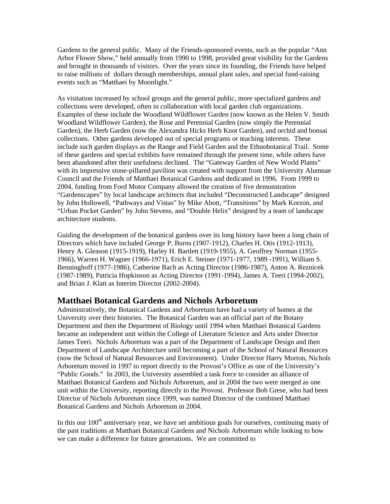Gardens to the general public. Many of the Friends-sponsored events, such as the popular "Ann Arbor Flower Show," held annually from 1990 to 1998, provided great visibility for the Gardens and brought in thousands of visitors. Over the years since its founding, the Friends have helped to raise millions of dollars through memberships, annual plant sales, and special fund-raising events such as "Matthaei by Moonlight."

As visitation increased by school groups and the general public, more specialized gardens and collections were developed, often in collaboration with local garden club organizations. Examples of these include the Woodland Wildflower Garden (now known as the Helen V. Smith Woodland Wildflower Garden), the Rose and Perennial Garden (now simply the Perennial Garden), the Herb Garden (now the Alexandra Hicks Herb Knot Garden), and orchid and bonsai collections. Other gardens developed out of special programs or teaching interests. These include such garden displays as the Range and Field Garden and the Ethnobotanical Trail. Some of these gardens and special exhibits have remained through the present time, while others have been abandoned after their usefulness declined. The "Gateway Garden of New World Plants" with its impressive stone-pillared pavilion was created with support from the University Alumnae Council and the Friends of Matthaei Botanical Gardens and dedicated in 1996. From 1999 to 2004, funding from Ford Motor Company allowed the creation of five demonstration "Gardenscapes" by local landscape architects that included "Deconstructed Landscape" designed by John Hollowell, "Pathways and Vistas" by Mike Abott, "Transitions" by Mark Korzon, and "Urban Pocket Garden" by John Stevens, and "Double Helix" designed by a team of landscape architecture students.

Guiding the development of the botanical gardens over its long history have been a long chain of Directors which have included George P. Burns (1907-1912), Charles H. Otis (1912-1913), Henry A. Gleason (1915-1919), Harley H. Bartlett (1919-1955), A. Geoffrey Norman (1955- 1966), Warren H. Wagner (1966-1971), Erich E. Steiner (1971-1977, 1989 -1991), William S. Benninghoff (1977-1986), Catherine Bach as Acting Director (1986-1987), Anton A. Reznicek (1987-1989), Patricia Hopkinson as Acting Director (1991-1994), James A. Teeri (1994-2002), and Brian J. Klatt as Interim Director (2002-2004).

# **Matthaei Botanical Gardens and Nichols Arboretum**

Administratively, the Botanical Gardens and Arboretum have had a variety of homes at the University over their histories. The Botanical Garden was an official part of the Botany Department and then the Department of Biology until 1994 when Matthaei Botanical Gardens became an independent unit within the College of Literature Science and Arts under Director James Teeri. Nichols Arboretum was a part of the Department of Landscape Design and then Department of Landscape Architecture until becoming a part of the School of Natural Resources (now the School of Natural Resources and Environment). Under Director Harry Morton, Nichols Arboretum moved in 1997 to report directly to the Provost's Office as one of the University's "Public Goods." In 2003, the University assembled a task force to consider an alliance of Matthaei Botanical Gardens and Nichols Arboretum, and in 2004 the two were merged as one unit within the University, reporting directly to the Provost. Professor Bob Grese, who had been Director of Nichols Arboretum since 1999, was named Director of the combined Matthaei Botanical Gardens and Nichols Arboretum in 2004.

In this our  $100<sup>th</sup>$  anniversary year, we have set ambitious goals for ourselves, continuing many of the past traditions at Matthaei Botanical Gardens and Nichols Arboretum while looking to how we can make a difference for future generations. We are committed to